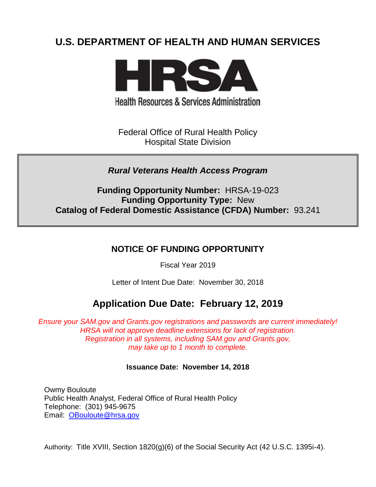# **U.S. DEPARTMENT OF HEALTH AND HUMAN SERVICES**



**Health Resources & Services Administration** 

Federal Office of Rural Health Policy Hospital State Division

## *Rural Veterans Health Access Program*

**Funding Opportunity Number:** HRSA-19-023 **Funding Opportunity Type:** New **Catalog of Federal Domestic Assistance (CFDA) Number:** 93.241

## **NOTICE OF FUNDING OPPORTUNITY**

Fiscal Year 2019

Letter of Intent Due Date: November 30, 2018

# **Application Due Date: February 12, 2019**

*Ensure your SAM.gov and Grants.gov registrations and passwords are current immediately! HRSA will not approve deadline extensions for lack of registration. Registration in all systems, including SAM.gov and Grants.gov, may take up to 1 month to complete.*

#### **Issuance Date:****November 14, 2018**

Owmy Bouloute Public Health Analyst, Federal Office of Rural Health Policy Telephone: (301) 945-9675 Email: [OBouloute@hrsa.gov](mailto:OBouloute@hrsa.gov)

Authority: Title XVIII, Section 1820(g)(6) of the Social Security Act (42 U.S.C. 1395i-4).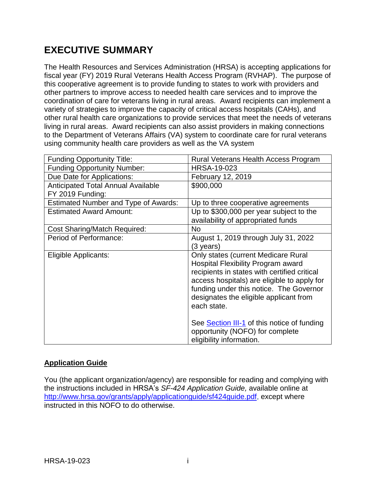# **EXECUTIVE SUMMARY**

The Health Resources and Services Administration (HRSA) is accepting applications for fiscal year (FY) 2019 Rural Veterans Health Access Program (RVHAP). The purpose of this cooperative agreement is to provide funding to states to work with providers and other partners to improve access to needed health care services and to improve the coordination of care for veterans living in rural areas. Award recipients can implement a variety of strategies to improve the capacity of critical access hospitals (CAHs), and other rural health care organizations to provide services that meet the needs of veterans living in rural areas. Award recipients can also assist providers in making connections to the Department of Veterans Affairs (VA) system to coordinate care for rural veterans using community health care providers as well as the VA system

| <b>Funding Opportunity Title:</b>           | Rural Veterans Health Access Program         |
|---------------------------------------------|----------------------------------------------|
| <b>Funding Opportunity Number:</b>          | <b>HRSA-19-023</b>                           |
| Due Date for Applications:                  | February 12, 2019                            |
| <b>Anticipated Total Annual Available</b>   | \$900,000                                    |
| FY 2019 Funding:                            |                                              |
| <b>Estimated Number and Type of Awards:</b> | Up to three cooperative agreements           |
| <b>Estimated Award Amount:</b>              | Up to \$300,000 per year subject to the      |
|                                             | availability of appropriated funds           |
| <b>Cost Sharing/Match Required:</b>         | No                                           |
| Period of Performance:                      | August 1, 2019 through July 31, 2022         |
|                                             | (3 years)                                    |
| <b>Eligible Applicants:</b>                 | <b>Only states (current Medicare Rural</b>   |
|                                             | <b>Hospital Flexibility Program award</b>    |
|                                             | recipients in states with certified critical |
|                                             | access hospitals) are eligible to apply for  |
|                                             | funding under this notice. The Governor      |
|                                             | designates the eligible applicant from       |
|                                             | each state.                                  |
|                                             |                                              |
|                                             | See Section III-1 of this notice of funding  |
|                                             | opportunity (NOFO) for complete              |
|                                             | eligibility information.                     |

## **Application Guide**

You (the applicant organization/agency) are responsible for reading and complying with the instructions included in HRSA's *SF-424 Application Guide,* available online at [http://www.hrsa.gov/grants/apply/applicationguide/sf424guide.pdf,](http://www.hrsa.gov/grants/apply/applicationguide/sf424guide.pdf) except where instructed in this NOFO to do otherwise.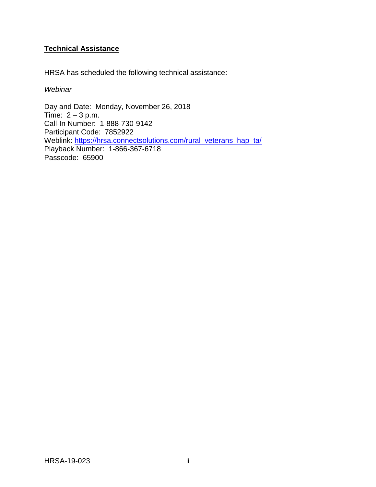## **Technical Assistance**

HRSA has scheduled the following technical assistance:

#### *Webinar*

Day and Date: Monday, November 26, 2018 Time:  $2 - 3$  p.m. Call-In Number: 1-888-730-9142 Participant Code: 7852922 Weblink: [https://hrsa.connectsolutions.com/rural\\_veterans\\_hap\\_ta/](https://hrsa.connectsolutions.com/rural_veterans_hap_ta/) Playback Number: 1-866-367-6718 Passcode: 65900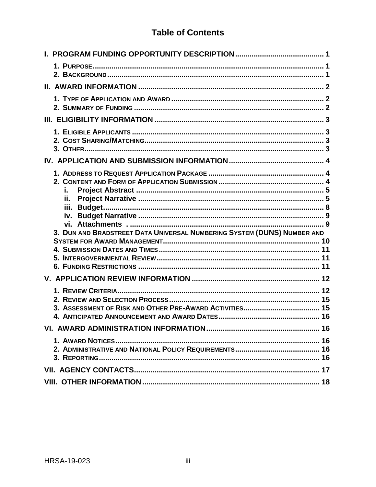## **Table of Contents**

| i.<br>ii.<br>3. DUN AND BRADSTREET DATA UNIVERSAL NUMBERING SYSTEM (DUNS) NUMBER AND |  |
|--------------------------------------------------------------------------------------|--|
| 10                                                                                   |  |
|                                                                                      |  |
|                                                                                      |  |
|                                                                                      |  |
|                                                                                      |  |
|                                                                                      |  |
|                                                                                      |  |
|                                                                                      |  |
|                                                                                      |  |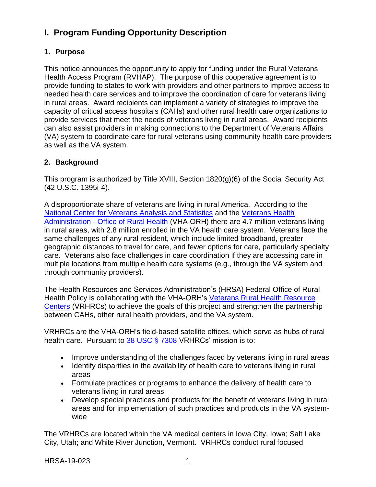## <span id="page-4-0"></span>**I. Program Funding Opportunity Description**

## <span id="page-4-1"></span>**1. Purpose**

This notice announces the opportunity to apply for funding under the Rural Veterans Health Access Program (RVHAP). The purpose of this cooperative agreement is to provide funding to states to work with providers and other partners to improve access to needed health care services and to improve the coordination of care for veterans living in rural areas. Award recipients can implement a variety of strategies to improve the capacity of critical access hospitals (CAHs) and other rural health care organizations to provide services that meet the needs of veterans living in rural areas. Award recipients can also assist providers in making connections to the Department of Veterans Affairs (VA) system to coordinate care for rural veterans using community health care providers as well as the VA system.

## <span id="page-4-2"></span>**2. Background**

This program is authorized by Title XVIII, Section 1820(g)(6) of the Social Security Act (42 U.S.C. 1395i-4).

A disproportionate share of veterans are living in rural America. According to the [National Center for Veterans Analysis and Statistics](https://www.va.gov/vetdata/veteran_population.asp) and the [Veterans Health](https://www.ruralhealth.va.gov/aboutus/ruralvets.asp)  Administration - [Office of Rural Health](https://www.ruralhealth.va.gov/aboutus/ruralvets.asp) (VHA-ORH) there are 4.7 million veterans living in rural areas, with 2.8 million enrolled in the VA health care system. Veterans face the same challenges of any rural resident, which include limited broadband, greater geographic distances to travel for care, and fewer options for care, particularly specialty care. Veterans also face challenges in care coordination if they are accessing care in multiple locations from multiple health care systems (e.g., through the VA system and through community providers).

The Health Resources and Services Administration's (HRSA) Federal Office of Rural Health Policy is collaborating with the VHA-ORH's [Veterans Rural Health Resource](https://www.ruralhealth.va.gov/aboutus/vrhrc.asp)  [Centers](https://www.ruralhealth.va.gov/aboutus/vrhrc.asp) (VRHRCs) to achieve the goals of this project and strengthen the partnership between CAHs, other rural health providers, and the VA system.

VRHRCs are the VHA-ORH's field-based satellite offices, which serve as hubs of rural health care. Pursuant to [38 USC § 7308](http://uscode.house.gov/view.xhtml?req=granuleid%3AUSC-prelim-title38-chapter73&edition=prelim) VRHRCs' mission is to:

- Improve understanding of the challenges faced by veterans living in rural areas
- Identify disparities in the availability of health care to veterans living in rural areas
- Formulate practices or programs to enhance the delivery of health care to veterans living in rural areas
- Develop special practices and products for the benefit of veterans living in rural areas and for implementation of such practices and products in the VA systemwide

The VRHRCs are located within the VA medical centers in Iowa City, Iowa; Salt Lake City, Utah; and White River Junction, Vermont. VRHRCs conduct rural focused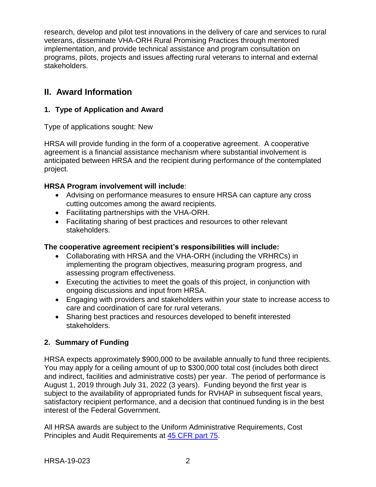research, develop and pilot test innovations in the delivery of care and services to rural veterans, disseminate VHA-ORH Rural Promising Practices through mentored implementation, and provide technical assistance and program consultation on programs, pilots, projects and issues affecting rural veterans to internal and external stakeholders.

## <span id="page-5-0"></span>**II. Award Information**

### <span id="page-5-1"></span>**1. Type of Application and Award**

Type of applications sought: New

HRSA will provide funding in the form of a cooperative agreement. A cooperative agreement is a financial assistance mechanism where substantial involvement is anticipated between HRSA and the recipient during performance of the contemplated project.

## **HRSA Program involvement will include**:

- Advising on performance measures to ensure HRSA can capture any cross cutting outcomes among the award recipients.
- Facilitating partnerships with the VHA-ORH.
- Facilitating sharing of best practices and resources to other relevant stakeholders.

### **The cooperative agreement recipient's responsibilities will include:**

- Collaborating with HRSA and the VHA-ORH (including the VRHRCs) in implementing the program objectives, measuring program progress, and assessing program effectiveness.
- Executing the activities to meet the goals of this project, in conjunction with ongoing discussions and input from HRSA.
- Engaging with providers and stakeholders within your state to increase access to care and coordination of care for rural veterans.
- Sharing best practices and resources developed to benefit interested stakeholders.

## <span id="page-5-2"></span>**2. Summary of Funding**

HRSA expects approximately \$900,000 to be available annually to fund three recipients. You may apply for a ceiling amount of up to \$300,000 total cost (includes both direct and indirect, facilities and administrative costs) per year. The period of performance is August 1, 2019 through July 31, 2022 (3 years). Funding beyond the first year is subject to the availability of appropriated funds for RVHAP in subsequent fiscal years, satisfactory recipient performance, and a decision that continued funding is in the best interest of the Federal Government.

All HRSA awards are subject to the Uniform Administrative Requirements, Cost Principles and Audit Requirements at [45 CFR part 75.](http://www.ecfr.gov/cgi-bin/retrieveECFR?gp=1&SID=4d52364ec83fab994c665943dadf9cf7&ty=HTML&h=L&r=PART&n=pt45.1.75)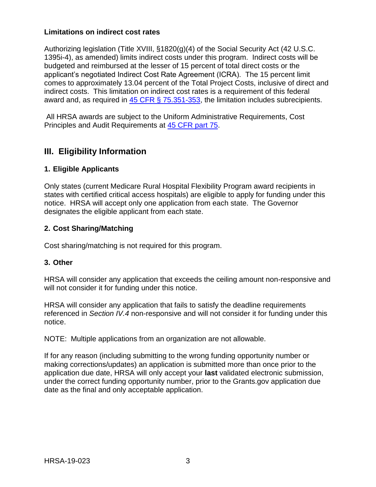#### **Limitations on indirect cost rates**

Authorizing legislation (Title XVIII, §1820(g)(4) of the Social Security Act (42 U.S.C. 1395i-4), as amended) limits indirect costs under this program. Indirect costs will be budgeted and reimbursed at the lesser of 15 percent of total direct costs or the applicant's negotiated Indirect Cost Rate Agreement (ICRA). The 15 percent limit comes to approximately 13.04 percent of the Total Project Costs, inclusive of direct and indirect costs. This limitation on indirect cost rates is a requirement of this federal award and, as required in [45 CFR § 75.351-353,](https://www.ecfr.gov/cgi-bin/retrieveECFR?gp=1&SID=4d52364ec83fab994c665943dadf9cf7&ty=HTML&h=L&r=PART&n=pt45.1.75#sg45.1.75_1344_675_1350.sg4) the limitation includes subrecipients.

All HRSA awards are subject to the Uniform Administrative Requirements, Cost Principles and Audit Requirements at [45 CFR part 75.](http://www.ecfr.gov/cgi-bin/retrieveECFR?gp=1&SID=4d52364ec83fab994c665943dadf9cf7&ty=HTML&h=L&r=PART&n=pt45.1.75)

## <span id="page-6-1"></span>**III. Eligibility Information**

## <span id="page-6-0"></span>**1. Eligible Applicants**

Only states (current Medicare Rural Hospital Flexibility Program award recipients in states with certified critical access hospitals) are eligible to apply for funding under this notice. HRSA will accept only one application from each state. The Governor designates the eligible applicant from each state.

### <span id="page-6-2"></span>**2. Cost Sharing/Matching**

Cost sharing/matching is not required for this program.

### <span id="page-6-3"></span>**3. Other**

HRSA will consider any application that exceeds the ceiling amount non-responsive and will not consider it for funding under this notice.

HRSA will consider any application that fails to satisfy the deadline requirements referenced in *Section IV.4* non-responsive and will not consider it for funding under this notice.

NOTE: Multiple applications from an organization are not allowable.

If for any reason (including submitting to the wrong funding opportunity number or making corrections/updates) an application is submitted more than once prior to the application due date, HRSA will only accept your **last** validated electronic submission, under the correct funding opportunity number, prior to the Grants.gov application due date as the final and only acceptable application.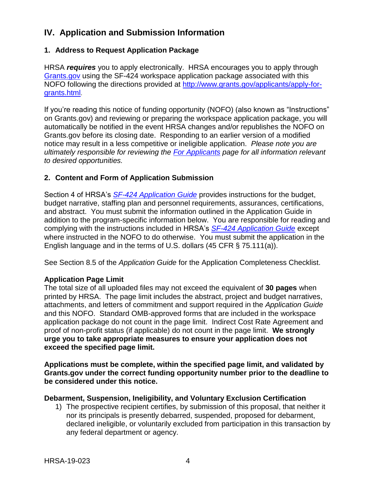## <span id="page-7-0"></span>**IV. Application and Submission Information**

### <span id="page-7-1"></span>**1. Address to Request Application Package**

HRSA *requires* you to apply electronically. HRSA encourages you to apply through [Grants.gov](https://www.grants.gov/) using the SF-424 workspace application package associated with this NOFO following the directions provided at [http://www.grants.gov/applicants/apply-for](http://www.grants.gov/applicants/apply-for-grants.html)[grants.html](http://www.grants.gov/applicants/apply-for-grants.html).

If you're reading this notice of funding opportunity (NOFO) (also known as "Instructions" on Grants.gov) and reviewing or preparing the workspace application package, you will automatically be notified in the event HRSA changes and/or republishes the NOFO on Grants.gov before its closing date. Responding to an earlier version of a modified notice may result in a less competitive or ineligible application. *Please note you are ultimately responsible for reviewing the [For Applicants](https://www.grants.gov/web/grants/applicants.html) page for all information relevant to desired opportunities.*

#### <span id="page-7-2"></span>**2. Content and Form of Application Submission**

Section 4 of HRSA's *SF-424 [Application Guide](http://www.hrsa.gov/grants/apply/applicationguide/sf424guide.pdf)* provides instructions for the budget, budget narrative, staffing plan and personnel requirements, assurances, certifications, and abstract. You must submit the information outlined in the Application Guide in addition to the program-specific information below. You are responsible for reading and complying with the instructions included in HRSA's *SF-424 [Application Guide](http://www.hrsa.gov/grants/apply/applicationguide/sf424guide.pdf)* except where instructed in the NOFO to do otherwise. You must submit the application in the English language and in the terms of U.S. dollars (45 CFR § 75.111(a)).

See Section 8.5 of the *Application Guide* for the Application Completeness Checklist.

#### **Application Page Limit**

The total size of all uploaded files may not exceed the equivalent of **30 pages** when printed by HRSA. The page limit includes the abstract, project and budget narratives, attachments, and letters of commitment and support required in the *Application Guide* and this NOFO. Standard OMB-approved forms that are included in the workspace application package do not count in the page limit. Indirect Cost Rate Agreement and proof of non-profit status (if applicable) do not count in the page limit. **We strongly urge you to take appropriate measures to ensure your application does not exceed the specified page limit.**

**Applications must be complete, within the specified page limit, and validated by Grants.gov under the correct funding opportunity number prior to the deadline to be considered under this notice.**

#### **Debarment, Suspension, Ineligibility, and Voluntary Exclusion Certification**

1) The prospective recipient certifies, by submission of this proposal, that neither it nor its principals is presently debarred, suspended, proposed for debarment, declared ineligible, or voluntarily excluded from participation in this transaction by any federal department or agency.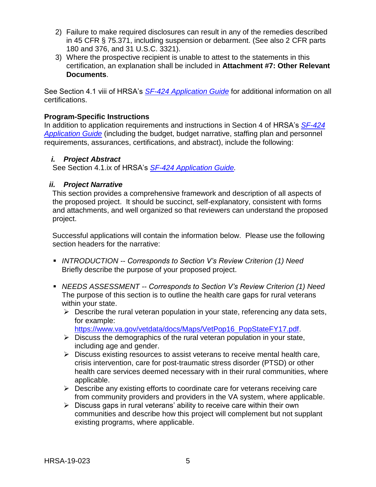- 2) Failure to make required disclosures can result in any of the remedies described in 45 CFR § 75.371, including suspension or debarment. (See also 2 CFR parts 180 and 376, and 31 U.S.C. 3321).
- 3) Where the prospective recipient is unable to attest to the statements in this certification, an explanation shall be included in **Attachment #7: Other Relevant Documents**.

See Section 4.1 viii of HRSA's *SF-424 [Application Guide](http://www.hrsa.gov/grants/apply/applicationguide/sf424guide.pdf)* for additional information on all certifications.

#### **Program-Specific Instructions**

In addition to application requirements and instructions in Section 4 of HRSA's *[SF-424](http://www.hrsa.gov/grants/apply/applicationguide/sf424guide.pdf) [Application Guide](http://www.hrsa.gov/grants/apply/applicationguide/sf424guide.pdf)* (including the budget, budget narrative, staffing plan and personnel requirements, assurances, certifications, and abstract), include the following:

#### <span id="page-8-0"></span>*i. Project Abstract*

See Section 4.1.ix of HRSA's *SF-424 [Application Guide.](http://www.hrsa.gov/grants/apply/applicationguide/sf424guide.pdf)*

#### <span id="page-8-1"></span>*ii. Project Narrative*

This section provides a comprehensive framework and description of all aspects of the proposed project. It should be succinct, self-explanatory, consistent with forms and attachments, and well organized so that reviewers can understand the proposed project.

Successful applications will contain the information below. Please use the following section headers for the narrative:

- *INTRODUCTION -- Corresponds to Section V's Review Criterion (1) Need* Briefly describe the purpose of your proposed project.
- *NEEDS ASSESSMENT -- Corresponds to Section V's Review Criterion (1) Need* The purpose of this section is to outline the health care gaps for rural veterans within your state.
	- $\triangleright$  Describe the rural veteran population in your state, referencing any data sets, for example:

[https://www.va.gov/vetdata/docs/Maps/VetPop16\\_PopStateFY17.pdf.](https://www.va.gov/vetdata/docs/Maps/VetPop16_PopStateFY17.pdf)

- $\triangleright$  Discuss the demographics of the rural veteran population in your state, including age and gender.
- $\triangleright$  Discuss existing resources to assist veterans to receive mental health care, crisis intervention, care for post-traumatic stress disorder (PTSD) or other health care services deemed necessary with in their rural communities, where applicable.
- $\triangleright$  Describe any existing efforts to coordinate care for veterans receiving care from community providers and providers in the VA system, where applicable.
- $\triangleright$  Discuss gaps in rural veterans' ability to receive care within their own communities and describe how this project will complement but not supplant existing programs, where applicable.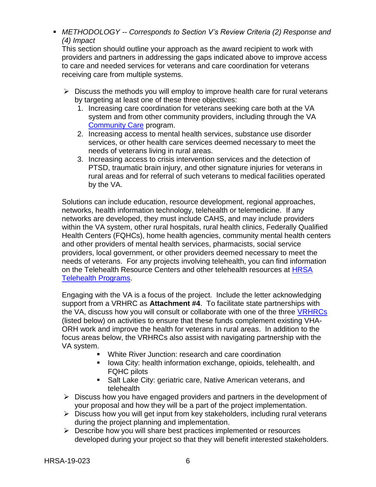*METHODOLOGY -- Corresponds to Section V's Review Criteria (2) Response and (4) Impact*

This section should outline your approach as the award recipient to work with providers and partners in addressing the gaps indicated above to improve access to care and needed services for veterans and care coordination for veterans receiving care from multiple systems.

- $\triangleright$  Discuss the methods you will employ to improve health care for rural veterans by targeting at least one of these three objectives:
	- 1. Increasing care coordination for veterans seeking care both at the VA system and from other community providers, including through the VA [Community Care](https://www.va.gov/communitycare/) program.
	- 2. Increasing access to mental health services, substance use disorder services, or other health care services deemed necessary to meet the needs of veterans living in rural areas.
	- 3. Increasing access to crisis intervention services and the detection of PTSD, traumatic brain injury, and other signature injuries for veterans in rural areas and for referral of such veterans to medical facilities operated by the VA.

Solutions can include education, resource development, regional approaches, networks, health information technology, telehealth or telemedicine. If any networks are developed, they must include CAHS, and may include providers within the VA system, other rural hospitals, rural health clinics, Federally Qualified Health Centers (FQHCs), home health agencies, community mental health centers and other providers of mental health services, pharmacists, social service providers, local government, or other providers deemed necessary to meet the needs of veterans. For any projects involving telehealth, you can find information on the Telehealth Resource Centers and other telehealth resources at **HRSA** [Telehealth Programs.](https://www.hrsa.gov/rural-health/telehealth/index.html)

Engaging with the VA is a focus of the project. Include the letter acknowledging support from a VRHRC as **Attachment #4**. To facilitate state partnerships with the VA, discuss how you will consult or collaborate with one of the three [VRHRCs](https://www.ruralhealth.va.gov/aboutus/vrhrc.asp) (listed below) on activities to ensure that these funds complement existing VHA-ORH work and improve the health for veterans in rural areas. In addition to the focus areas below, the VRHRCs also assist with navigating partnership with the VA system.

- White River Junction: research and care coordination
- **I** lowa City: health information exchange, opioids, telehealth, and FQHC pilots
- **Salt Lake City: geriatric care, Native American veterans, and** telehealth
- $\triangleright$  Discuss how you have engaged providers and partners in the development of your proposal and how they will be a part of the project implementation.
- $\triangleright$  Discuss how you will get input from key stakeholders, including rural veterans during the project planning and implementation.
- $\triangleright$  Describe how you will share best practices implemented or resources developed during your project so that they will benefit interested stakeholders.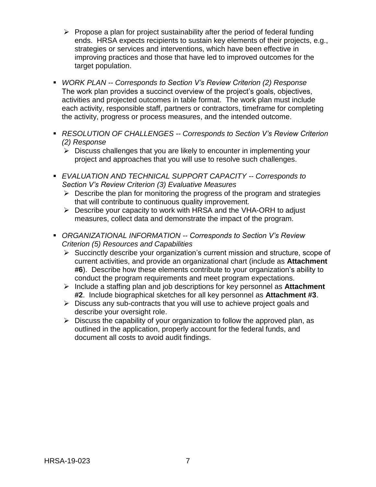- $\triangleright$  Propose a plan for project sustainability after the period of federal funding ends. HRSA expects recipients to sustain key elements of their projects, e.g., strategies or services and interventions, which have been effective in improving practices and those that have led to improved outcomes for the target population.
- *WORK PLAN -- Corresponds to Section V's Review Criterion (2) Response*  The work plan provides a succinct overview of the project's goals, objectives, activities and projected outcomes in table format. The work plan must include each activity, responsible staff, partners or contractors, timeframe for completing the activity, progress or process measures, and the intended outcome.
- *RESOLUTION OF CHALLENGES -- Corresponds to Section V's Review Criterion (2) Response*
	- $\triangleright$  Discuss challenges that you are likely to encounter in implementing your project and approaches that you will use to resolve such challenges.
- *EVALUATION AND TECHNICAL SUPPORT CAPACITY -- Corresponds to Section V's Review Criterion (3) Evaluative Measures*
	- $\triangleright$  Describe the plan for monitoring the progress of the program and strategies that will contribute to continuous quality improvement.
	- Describe your capacity to work with HRSA and the VHA-ORH to adjust measures, collect data and demonstrate the impact of the program.
- *ORGANIZATIONAL INFORMATION -- Corresponds to Section V's Review Criterion (5) Resources and Capabilities*
	- $\triangleright$  Succinctly describe your organization's current mission and structure, scope of current activities, and provide an organizational chart (include as **Attachment #6**). Describe how these elements contribute to your organization's ability to conduct the program requirements and meet program expectations.
	- Include a staffing plan and job descriptions for key personnel as **Attachment #2**. Include biographical sketches for all key personnel as **Attachment #3**.
	- $\triangleright$  Discuss any sub-contracts that you will use to achieve project goals and describe your oversight role.
	- $\triangleright$  Discuss the capability of your organization to follow the approved plan, as outlined in the application, properly account for the federal funds, and document all costs to avoid audit findings.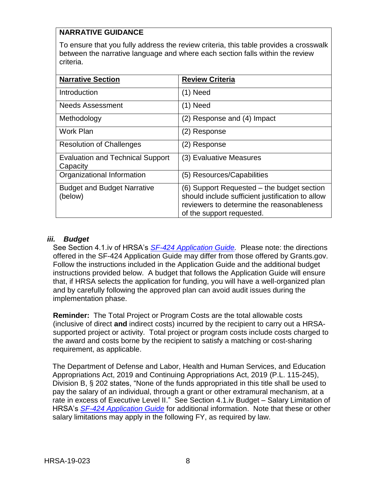## **NARRATIVE GUIDANCE**

To ensure that you fully address the review criteria, this table provides a crosswalk between the narrative language and where each section falls within the review criteria.

| <b>Narrative Section</b>                            | <b>Review Criteria</b>                                                                                                                                                   |
|-----------------------------------------------------|--------------------------------------------------------------------------------------------------------------------------------------------------------------------------|
|                                                     |                                                                                                                                                                          |
| Introduction                                        | $(1)$ Need                                                                                                                                                               |
| <b>Needs Assessment</b>                             | (1) Need                                                                                                                                                                 |
| Methodology                                         | (2) Response and (4) Impact                                                                                                                                              |
| Work Plan                                           | (2) Response                                                                                                                                                             |
| <b>Resolution of Challenges</b>                     | (2) Response                                                                                                                                                             |
| <b>Evaluation and Technical Support</b><br>Capacity | (3) Evaluative Measures                                                                                                                                                  |
| Organizational Information                          | (5) Resources/Capabilities                                                                                                                                               |
| <b>Budget and Budget Narrative</b><br>(below)       | (6) Support Requested – the budget section<br>should include sufficient justification to allow<br>reviewers to determine the reasonableness<br>of the support requested. |

#### <span id="page-11-0"></span>*iii. Budget*

See Section 4.1.iv of HRSA's *SF-424 [Application Guide.](http://www.hrsa.gov/grants/apply/applicationguide/sf424guide.pdf)* Please note: the directions offered in the SF-424 Application Guide may differ from those offered by Grants.gov. Follow the instructions included in the Application Guide and the additional budget instructions provided below. A budget that follows the Application Guide will ensure that, if HRSA selects the application for funding, you will have a well-organized plan and by carefully following the approved plan can avoid audit issues during the implementation phase.

**Reminder:** The Total Project or Program Costs are the total allowable costs (inclusive of direct **and** indirect costs) incurred by the recipient to carry out a HRSAsupported project or activity. Total project or program costs include costs charged to the award and costs borne by the recipient to satisfy a matching or cost-sharing requirement, as applicable.

The Department of Defense and Labor, Health and Human Services, and Education Appropriations Act, 2019 and Continuing Appropriations Act, 2019 (P.L. 115-245), Division B, § 202 states, "None of the funds appropriated in this title shall be used to pay the salary of an individual, through a grant or other extramural mechanism, at a rate in excess of Executive Level II." See Section 4.1.iv Budget – Salary Limitation of HRSA's *SF-424 [Application Guide](http://www.hrsa.gov/grants/apply/applicationguide/sf424guide.pdf)* for additional information. Note that these or other salary limitations may apply in the following FY, as required by law.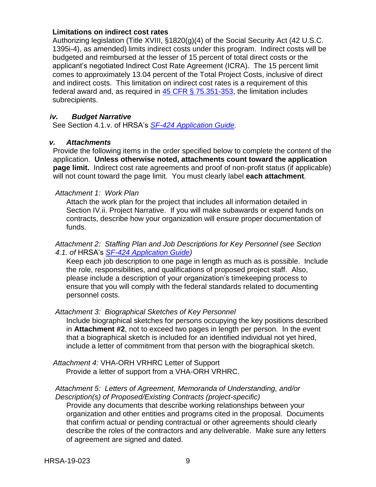#### **Limitations on indirect cost rates**

Authorizing legislation (Title XVIII, §1820(g)(4) of the Social Security Act (42 U.S.C. 1395i-4), as amended) limits indirect costs under this program. Indirect costs will be budgeted and reimbursed at the lesser of 15 percent of total direct costs or the applicant's negotiated Indirect Cost Rate Agreement (ICRA). The 15 percent limit comes to approximately 13.04 percent of the Total Project Costs, inclusive of direct and indirect costs. This limitation on indirect cost rates is a requirement of this federal award and, as required in [45 CFR § 75.351-353,](https://www.ecfr.gov/cgi-bin/retrieveECFR?gp=1&SID=4d52364ec83fab994c665943dadf9cf7&ty=HTML&h=L&r=PART&n=pt45.1.75#sg45.1.75_1344_675_1350.sg4) the limitation includes subrecipients.

#### <span id="page-12-0"></span>*iv. Budget Narrative*

See Section 4.1.v. of HRSA's *SF-424 [Application Guide.](http://www.hrsa.gov/grants/apply/applicationguide/sf424guide.pdf)*

#### <span id="page-12-1"></span>*v. Attachments*

Provide the following items in the order specified below to complete the content of the application. **Unless otherwise noted, attachments count toward the application page limit.** Indirect cost rate agreements and proof of non-profit status (if applicable) will not count toward the page limit. You must clearly label **each attachment**.

#### *Attachment 1: Work Plan*

Attach the work plan for the project that includes all information detailed in Section IV.ii. Project Narrative. If you will make subawards or expend funds on contracts, describe how your organization will ensure proper documentation of funds.

#### *Attachment 2: Staffing Plan and Job Descriptions for Key Personnel (see Section 4.1. of* HRSA's *SF-424 [Application Guide\)](http://www.hrsa.gov/grants/apply/applicationguide/sf424guide.pdf)*

Keep each job description to one page in length as much as is possible. Include the role, responsibilities, and qualifications of proposed project staff. Also, please include a description of your organization's timekeeping process to ensure that you will comply with the federal standards related to documenting personnel costs.

#### *Attachment 3: Biographical Sketches of Key Personnel*

Include biographical sketches for persons occupying the key positions described in **Attachment #2**, not to exceed two pages in length per person. In the event that a biographical sketch is included for an identified individual not yet hired, include a letter of commitment from that person with the biographical sketch.

*Attachment 4:* VHA-ORH VRHRC Letter of Support Provide a letter of support from a VHA-ORH VRHRC.

#### *Attachment 5: Letters of Agreement, Memoranda of Understanding, and/or Description(s) of Proposed/Existing Contracts (project-specific)*

Provide any documents that describe working relationships between your organization and other entities and programs cited in the proposal. Documents that confirm actual or pending contractual or other agreements should clearly describe the roles of the contractors and any deliverable. Make sure any letters of agreement are signed and dated.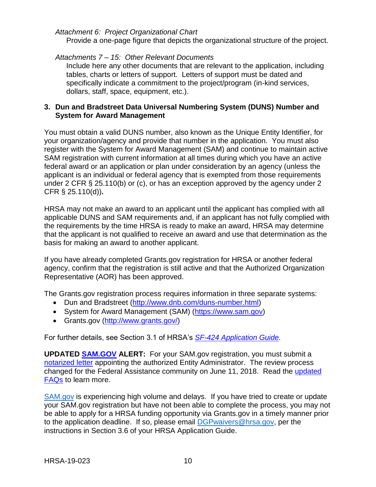#### *Attachment 6: Project Organizational Chart*

Provide a one-page figure that depicts the organizational structure of the project.

#### *Attachments 7 – 15: Other Relevant Documents*

Include here any other documents that are relevant to the application, including tables, charts or letters of support. Letters of support must be dated and specifically indicate a commitment to the project/program (in-kind services, dollars, staff, space, equipment, etc.).

#### <span id="page-13-0"></span>**3. Dun and Bradstreet Data Universal Numbering System (DUNS) Number and System for Award Management**

You must obtain a valid DUNS number, also known as the Unique Entity Identifier, for your organization/agency and provide that number in the application. You must also register with the System for Award Management (SAM) and continue to maintain active SAM registration with current information at all times during which you have an active federal award or an application or plan under consideration by an agency (unless the applicant is an individual or federal agency that is exempted from those requirements under 2 CFR § 25.110(b) or (c), or has an exception approved by the agency under 2 CFR § 25.110(d))**.**

HRSA may not make an award to an applicant until the applicant has complied with all applicable DUNS and SAM requirements and, if an applicant has not fully complied with the requirements by the time HRSA is ready to make an award, HRSA may determine that the applicant is not qualified to receive an award and use that determination as the basis for making an award to another applicant.

If you have already completed Grants.gov registration for HRSA or another federal agency, confirm that the registration is still active and that the Authorized Organization Representative (AOR) has been approved.

The Grants.gov registration process requires information in three separate systems:

- Dun and Bradstreet [\(http://www.dnb.com/duns-number.html\)](http://www.dnb.com/duns-number.html)
- System for Award Management (SAM) [\(https://www.sam.gov\)](https://www.sam.gov/)
- Grants.gov [\(http://www.grants.gov/\)](http://www.grants.gov/)

For further details, see Section 3.1 of HRSA's *SF-424 [Application Guide.](http://www.hrsa.gov/grants/apply/applicationguide/sf424guide.pdf)*

**UPDATED [SAM.GOV](http://sam.gov/) ALERT:** For your SAM.gov registration, you must submit a [notarized letter](https://www.fsd.gov/fsd-gov/answer.do?sysparm_kbid=d2e67885db0d5f00b3257d321f96194b&sysparm_search=kb0013183) appointing the authorized Entity Administrator. The review process changed for the Federal Assistance community on June 11, 2018. Read the [updated](https://www.gsa.gov/about-us/organization/federal-acquisition-service/office-of-systems-management/integrated-award-environment-iae/sam-update)  [FAQs](https://www.gsa.gov/about-us/organization/federal-acquisition-service/office-of-systems-management/integrated-award-environment-iae/sam-update) to learn more.

[SAM.gov](https://sam.gov/portal/SAM/) is experiencing high volume and delays. If you have tried to create or update your SAM.gov registration but have not been able to complete the process, you may not be able to apply for a HRSA funding opportunity via Grants.gov in a timely manner prior to the application deadline. If so, please email [DGPwaivers@hrsa.gov,](mailto:DGPwaivers@hrsa.gov) per the instructions in Section 3.6 of your HRSA Application Guide.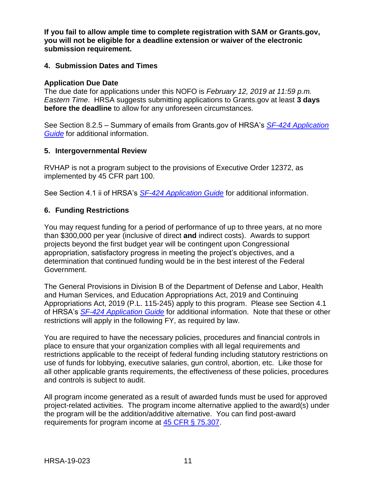**If you fail to allow ample time to complete registration with SAM or Grants.gov, you will not be eligible for a deadline extension or waiver of the electronic submission requirement.**

#### <span id="page-14-0"></span>**4. Submission Dates and Times**

#### **Application Due Date**

The due date for applications under this NOFO is *February 12, 2019 at 11:59 p.m. Eastern Time*. HRSA suggests submitting applications to Grants.gov at least **3 days before the deadline** to allow for any unforeseen circumstances.

See Section 8.2.5 – Summary of emails from Grants.gov of HRSA's *[SF-424 Application](http://www.hrsa.gov/grants/apply/applicationguide/sf424guide.pdf)  [Guide](http://www.hrsa.gov/grants/apply/applicationguide/sf424guide.pdf)* for additional information.

#### <span id="page-14-1"></span>**5. Intergovernmental Review**

RVHAP is not a program subject to the provisions of Executive Order 12372, as implemented by 45 CFR part 100.

See Section 4.1 ii of HRSA's *SF-424 [Application Guide](http://www.hrsa.gov/grants/apply/applicationguide/sf424guide.pdf)* for additional information.

#### <span id="page-14-2"></span>**6. Funding Restrictions**

You may request funding for a period of performance of up to three years, at no more than \$300,000 per year (inclusive of direct **and** indirect costs). Awards to support projects beyond the first budget year will be contingent upon Congressional appropriation, satisfactory progress in meeting the project's objectives, and a determination that continued funding would be in the best interest of the Federal Government.

The General Provisions in Division B of the Department of Defense and Labor, Health and Human Services, and Education Appropriations Act, 2019 and Continuing Appropriations Act, 2019 (P.L. 115-245) apply to this program. Please see Section 4.1 of HRSA's *SF-424 [Application Guide](http://www.hrsa.gov/grants/apply/applicationguide/sf424guide.pdf)* for additional information. Note that these or other restrictions will apply in the following FY, as required by law.

You are required to have the necessary policies, procedures and financial controls in place to ensure that your organization complies with all legal requirements and restrictions applicable to the receipt of federal funding including statutory restrictions on use of funds for lobbying, executive salaries, gun control, abortion, etc. Like those for all other applicable grants requirements, the effectiveness of these policies, procedures and controls is subject to audit.

All program income generated as a result of awarded funds must be used for approved project-related activities. The program income alternative applied to the award(s) under the program will be the addition/additive alternative. You can find post-award requirements for program income at [45 CFR § 75.307.](https://www.ecfr.gov/cgi-bin/retrieveECFR?gp=1&SID=4d52364ec83fab994c665943dadf9cf7&ty=HTML&h=L&r=PART&n=pt45.1.75)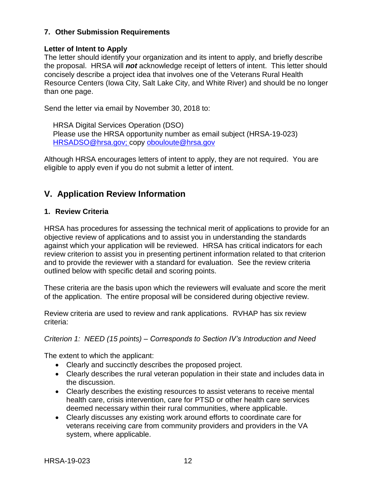### **7. Other Submission Requirements**

#### **Letter of Intent to Apply**

The letter should identify your organization and its intent to apply, and briefly describe the proposal. HRSA will *not* acknowledge receipt of letters of intent. This letter should concisely describe a project idea that involves one of the Veterans Rural Health Resource Centers (Iowa City, Salt Lake City, and White River) and should be no longer than one page.

Send the letter via email by November 30, 2018 to:

HRSA Digital Services Operation (DSO) Please use the HRSA opportunity number as email subject (HRSA-19-023) [HRSADSO@hrsa.gov;](mailto:HRSADSO@hrsa.gov) copy [obouloute@hrsa.gov](mailto:obouloute@hrsa.gov)

Although HRSA encourages letters of intent to apply, they are not required. You are eligible to apply even if you do not submit a letter of intent.

## <span id="page-15-0"></span>**V. Application Review Information**

#### <span id="page-15-1"></span>**1. Review Criteria**

HRSA has procedures for assessing the technical merit of applications to provide for an objective review of applications and to assist you in understanding the standards against which your application will be reviewed. HRSA has critical indicators for each review criterion to assist you in presenting pertinent information related to that criterion and to provide the reviewer with a standard for evaluation. See the review criteria outlined below with specific detail and scoring points.

These criteria are the basis upon which the reviewers will evaluate and score the merit of the application. The entire proposal will be considered during objective review.

Review criteria are used to review and rank applications. RVHAP has six review criteria:

#### *Criterion 1: NEED (15 points) – Corresponds to Section IV's Introduction and Need*

The extent to which the applicant:

- Clearly and succinctly describes the proposed project.
- Clearly describes the rural veteran population in their state and includes data in the discussion.
- Clearly describes the existing resources to assist veterans to receive mental health care, crisis intervention, care for PTSD or other health care services deemed necessary within their rural communities, where applicable.
- Clearly discusses any existing work around efforts to coordinate care for veterans receiving care from community providers and providers in the VA system, where applicable.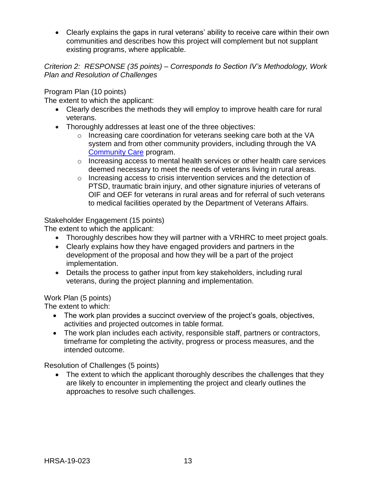Clearly explains the gaps in rural veterans' ability to receive care within their own communities and describes how this project will complement but not supplant existing programs, where applicable.

*Criterion 2: RESPONSE (35 points) – Corresponds to Section IV's Methodology, Work Plan and Resolution of Challenges*

Program Plan (10 points)

The extent to which the applicant:

- Clearly describes the methods they will employ to improve health care for rural veterans.
- Thoroughly addresses at least one of the three objectives:
	- o Increasing care coordination for veterans seeking care both at the VA system and from other community providers, including through the VA [Community Care](https://www.va.gov/communitycare/) program.
	- o Increasing access to mental health services or other health care services deemed necessary to meet the needs of veterans living in rural areas.
	- o Increasing access to crisis intervention services and the detection of PTSD, traumatic brain injury, and other signature injuries of veterans of OIF and OEF for veterans in rural areas and for referral of such veterans to medical facilities operated by the Department of Veterans Affairs.

#### Stakeholder Engagement (15 points)

The extent to which the applicant:

- Thoroughly describes how they will partner with a VRHRC to meet project goals.
- Clearly explains how they have engaged providers and partners in the development of the proposal and how they will be a part of the project implementation.
- Details the process to gather input from key stakeholders, including rural veterans, during the project planning and implementation.

Work Plan (5 points)

The extent to which:

- The work plan provides a succinct overview of the project's goals, objectives, activities and projected outcomes in table format.
- The work plan includes each activity, responsible staff, partners or contractors, timeframe for completing the activity, progress or process measures, and the intended outcome.

Resolution of Challenges (5 points)

• The extent to which the applicant thoroughly describes the challenges that they are likely to encounter in implementing the project and clearly outlines the approaches to resolve such challenges.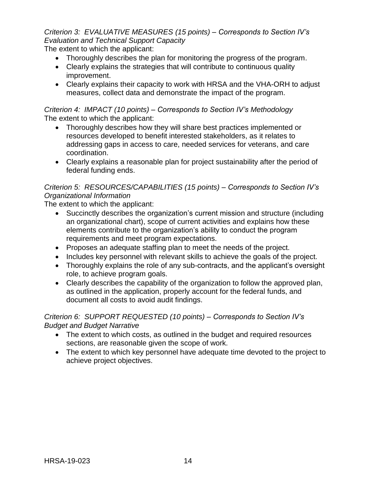*Criterion 3: EVALUATIVE MEASURES (15 points) – Corresponds to Section IV's Evaluation and Technical Support Capacity*

The extent to which the applicant:

- Thoroughly describes the plan for monitoring the progress of the program.
- Clearly explains the strategies that will contribute to continuous quality improvement.
- Clearly explains their capacity to work with HRSA and the VHA-ORH to adjust measures, collect data and demonstrate the impact of the program.

*Criterion 4: IMPACT (10 points) – Corresponds to Section IV's Methodology* The extent to which the applicant:

- Thoroughly describes how they will share best practices implemented or resources developed to benefit interested stakeholders, as it relates to addressing gaps in access to care, needed services for veterans, and care coordination.
- Clearly explains a reasonable plan for project sustainability after the period of federal funding ends.

## *Criterion 5: RESOURCES/CAPABILITIES (15 points) – Corresponds to Section IV's Organizational Information*

The extent to which the applicant:

- Succinctly describes the organization's current mission and structure (including an organizational chart), scope of current activities and explains how these elements contribute to the organization's ability to conduct the program requirements and meet program expectations.
- Proposes an adequate staffing plan to meet the needs of the project.
- Includes key personnel with relevant skills to achieve the goals of the project.
- Thoroughly explains the role of any sub-contracts, and the applicant's oversight role, to achieve program goals.
- Clearly describes the capability of the organization to follow the approved plan, as outlined in the application, properly account for the federal funds, and document all costs to avoid audit findings.

#### *Criterion 6: SUPPORT REQUESTED (10 points) – Corresponds to Section IV's Budget and Budget Narrative*

- The extent to which costs, as outlined in the budget and required resources sections, are reasonable given the scope of work.
- The extent to which key personnel have adequate time devoted to the project to achieve project objectives.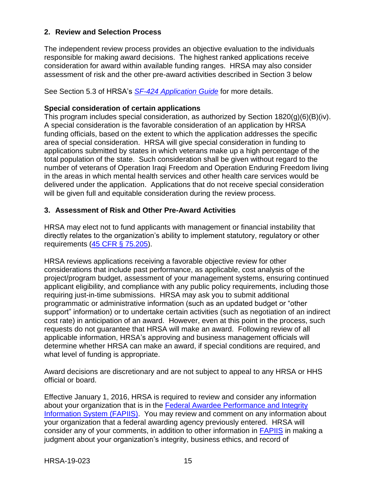### <span id="page-18-0"></span>**2. Review and Selection Process**

The independent review process provides an objective evaluation to the individuals responsible for making award decisions. The highest ranked applications receive consideration for award within available funding ranges. HRSA may also consider assessment of risk and the other pre-award activities described in Section 3 below

See Section 5.3 of HRSA's *SF-424 [Application Guide](http://www.hrsa.gov/grants/apply/applicationguide/sf424guide.pdf)* for more details.

#### **Special consideration of certain applications**

This program includes special consideration, as authorized by Section 1820(g)(6)(B)(iv). A special consideration is the favorable consideration of an application by HRSA funding officials, based on the extent to which the application addresses the specific area of special consideration. HRSA will give special consideration in funding to applications submitted by states in which veterans make up a high percentage of the total population of the state. Such consideration shall be given without regard to the number of veterans of Operation Iraqi Freedom and Operation Enduring Freedom living in the areas in which mental health services and other health care services would be delivered under the application. Applications that do not receive special consideration will be given full and equitable consideration during the review process.

#### <span id="page-18-1"></span>**3. Assessment of Risk and Other Pre-Award Activities**

HRSA may elect not to fund applicants with management or financial instability that directly relates to the organization's ability to implement statutory, regulatory or other requirements [\(45 CFR § 75.205\)](https://www.ecfr.gov/cgi-bin/retrieveECFR?gp=1&SID=4d52364ec83fab994c665943dadf9cf7&ty=HTML&h=L&r=PART&n=pt45.1.75).

HRSA reviews applications receiving a favorable objective review for other considerations that include past performance, as applicable, cost analysis of the project/program budget, assessment of your management systems, ensuring continued applicant eligibility, and compliance with any public policy requirements, including those requiring just-in-time submissions. HRSA may ask you to submit additional programmatic or administrative information (such as an updated budget or "other support" information) or to undertake certain activities (such as negotiation of an indirect cost rate) in anticipation of an award. However, even at this point in the process, such requests do not guarantee that HRSA will make an award. Following review of all applicable information, HRSA's approving and business management officials will determine whether HRSA can make an award, if special conditions are required, and what level of funding is appropriate.

Award decisions are discretionary and are not subject to appeal to any HRSA or HHS official or board.

Effective January 1, 2016, HRSA is required to review and consider any information about your organization that is in the [Federal Awardee Performance and Integrity](https://www.fapiis.gov/)  [Information System \(FAPIIS\).](https://www.fapiis.gov/) You may review and comment on any information about your organization that a federal awarding agency previously entered. HRSA will consider any of your comments, in addition to other information in [FAPIIS](https://www.fapiis.gov/) in making a judgment about your organization's integrity, business ethics, and record of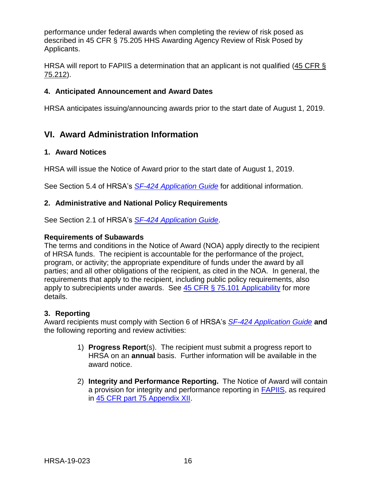performance under federal awards when completing the review of risk posed as described in 45 CFR § 75.205 HHS Awarding Agency Review of Risk Posed by Applicants.

HRSA will report to FAPIIS a determination that an applicant is not qualified [\(45 CFR §](https://www.ecfr.gov/cgi-bin/retrieveECFR?gp=1&SID=4d52364ec83fab994c665943dadf9cf7&ty=HTML&h=L&r=PART&n=pt45.1.75)  [75.212\)](https://www.ecfr.gov/cgi-bin/retrieveECFR?gp=1&SID=4d52364ec83fab994c665943dadf9cf7&ty=HTML&h=L&r=PART&n=pt45.1.75).

### <span id="page-19-0"></span>**4. Anticipated Announcement and Award Dates**

HRSA anticipates issuing/announcing awards prior to the start date of August 1, 2019.

## <span id="page-19-1"></span>**VI. Award Administration Information**

#### <span id="page-19-2"></span>**1. Award Notices**

HRSA will issue the Notice of Award prior to the start date of August 1, 2019.

See Section 5.4 of HRSA's *SF-424 [Application Guide](http://www.hrsa.gov/grants/apply/applicationguide/sf424guide.pdf)* for additional information.

#### <span id="page-19-3"></span>**2. Administrative and National Policy Requirements**

See Section 2.1 of HRSA's *SF-424 [Application Guide](http://www.hrsa.gov/grants/apply/applicationguide/sf424guide.pdf)*.

#### **Requirements of Subawards**

The terms and conditions in the Notice of Award (NOA) apply directly to the recipient of HRSA funds. The recipient is accountable for the performance of the project, program, or activity; the appropriate expenditure of funds under the award by all parties; and all other obligations of the recipient, as cited in the NOA. In general, the requirements that apply to the recipient, including public policy requirements, also apply to subrecipients under awards. See [45 CFR § 75.101 Applicability](https://www.ecfr.gov/cgi-bin/retrieveECFR?gp=1&SID=4d52364ec83fab994c665943dadf9cf7&ty=HTML&h=L&r=PART&n=pt45.1.75) for more details.

#### <span id="page-19-4"></span>**3. Reporting**

Award recipients must comply with Section 6 of HRSA's *SF-424 [Application Guide](http://www.hrsa.gov/grants/apply/applicationguide/sf424guide.pdf)* **and** the following reporting and review activities:

- 1) **Progress Report**(s). The recipient must submit a progress report to HRSA on an **annual** basis. Further information will be available in the award notice.
- 2) **Integrity and Performance Reporting.** The Notice of Award will contain a provision for integrity and performance reporting in [FAPIIS,](https://www.fapiis.gov/) as required in [45 CFR part 75 Appendix XII.](https://www.ecfr.gov/cgi-bin/retrieveECFR?gp=1&SID=4d52364ec83fab994c665943dadf9cf7&ty=HTML&h=L&r=PART&n=pt45.1.75)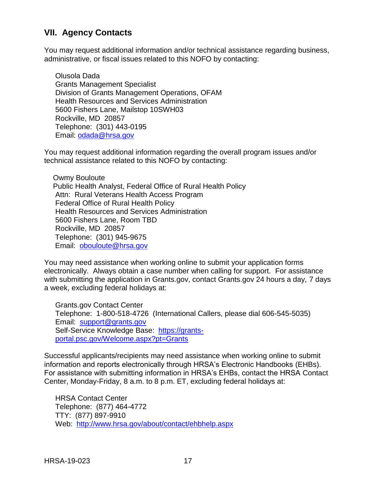## <span id="page-20-0"></span>**VII. Agency Contacts**

You may request additional information and/or technical assistance regarding business, administrative, or fiscal issues related to this NOFO by contacting:

Olusola Dada Grants Management Specialist Division of Grants Management Operations, OFAM Health Resources and Services Administration 5600 Fishers Lane, Mailstop 10SWH03 Rockville, MD 20857 Telephone: (301) 443-0195 Email: [odada@hrsa.gov](mailto:odada@hrsa.gov)

You may request additional information regarding the overall program issues and/or technical assistance related to this NOFO by contacting:

Owmy Bouloute Public Health Analyst, Federal Office of Rural Health Policy Attn: Rural Veterans Health Access Program Federal Office of Rural Health Policy Health Resources and Services Administration 5600 Fishers Lane, Room TBD Rockville, MD 20857 Telephone: (301) 945-9675 Email: [obouloute@hrsa.gov](mailto:obouloute@hrsa.gov)

You may need assistance when working online to submit your application forms electronically. Always obtain a case number when calling for support. For assistance with submitting the application in Grants.gov, contact Grants.gov 24 hours a day, 7 days a week, excluding federal holidays at:

Grants.gov Contact Center Telephone: 1-800-518-4726 (International Callers, please dial 606-545-5035) Email: [support@grants.gov](mailto:support@grants.gov) Self-Service Knowledge Base: [https://grants](https://grants-portal.psc.gov/Welcome.aspx?pt=Grants)[portal.psc.gov/Welcome.aspx?pt=Grants](https://grants-portal.psc.gov/Welcome.aspx?pt=Grants)

Successful applicants/recipients may need assistance when working online to submit information and reports electronically through HRSA's Electronic Handbooks (EHBs). For assistance with submitting information in HRSA's EHBs, contact the HRSA Contact Center, Monday-Friday, 8 a.m. to 8 p.m. ET, excluding federal holidays at:

HRSA Contact Center Telephone: (877) 464-4772 TTY: (877) 897-9910 Web: <http://www.hrsa.gov/about/contact/ehbhelp.aspx>